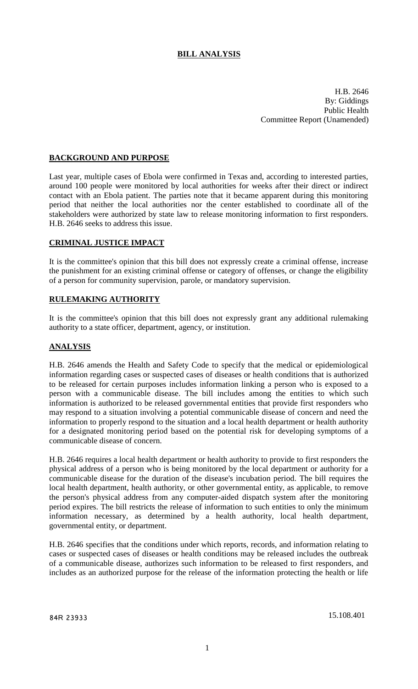## **BILL ANALYSIS**

H.B. 2646 By: Giddings Public Health Committee Report (Unamended)

### **BACKGROUND AND PURPOSE**

Last year, multiple cases of Ebola were confirmed in Texas and, according to interested parties, around 100 people were monitored by local authorities for weeks after their direct or indirect contact with an Ebola patient. The parties note that it became apparent during this monitoring period that neither the local authorities nor the center established to coordinate all of the stakeholders were authorized by state law to release monitoring information to first responders. H.B. 2646 seeks to address this issue.

#### **CRIMINAL JUSTICE IMPACT**

It is the committee's opinion that this bill does not expressly create a criminal offense, increase the punishment for an existing criminal offense or category of offenses, or change the eligibility of a person for community supervision, parole, or mandatory supervision.

### **RULEMAKING AUTHORITY**

It is the committee's opinion that this bill does not expressly grant any additional rulemaking authority to a state officer, department, agency, or institution.

### **ANALYSIS**

H.B. 2646 amends the Health and Safety Code to specify that the medical or epidemiological information regarding cases or suspected cases of diseases or health conditions that is authorized to be released for certain purposes includes information linking a person who is exposed to a person with a communicable disease. The bill includes among the entities to which such information is authorized to be released governmental entities that provide first responders who may respond to a situation involving a potential communicable disease of concern and need the information to properly respond to the situation and a local health department or health authority for a designated monitoring period based on the potential risk for developing symptoms of a communicable disease of concern.

H.B. 2646 requires a local health department or health authority to provide to first responders the physical address of a person who is being monitored by the local department or authority for a communicable disease for the duration of the disease's incubation period. The bill requires the local health department, health authority, or other governmental entity, as applicable, to remove the person's physical address from any computer-aided dispatch system after the monitoring period expires. The bill restricts the release of information to such entities to only the minimum information necessary, as determined by a health authority, local health department, governmental entity, or department.

H.B. 2646 specifies that the conditions under which reports, records, and information relating to cases or suspected cases of diseases or health conditions may be released includes the outbreak of a communicable disease, authorizes such information to be released to first responders, and includes as an authorized purpose for the release of the information protecting the health or life